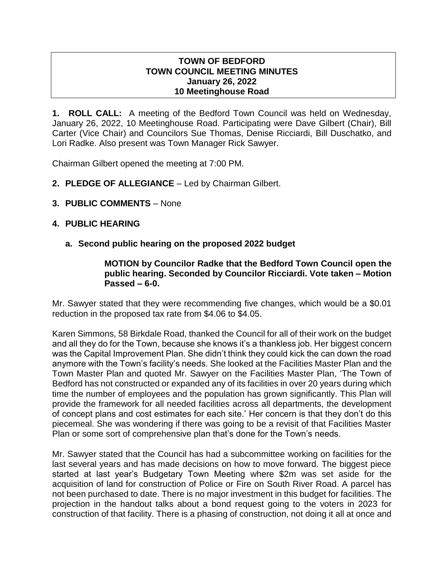## **TOWN OF BEDFORD TOWN COUNCIL MEETING MINUTES January 26, 2022 10 Meetinghouse Road**

**1. ROLL CALL:** A meeting of the Bedford Town Council was held on Wednesday, January 26, 2022, 10 Meetinghouse Road. Participating were Dave Gilbert (Chair), Bill Carter (Vice Chair) and Councilors Sue Thomas, Denise Ricciardi, Bill Duschatko, and Lori Radke. Also present was Town Manager Rick Sawyer.

Chairman Gilbert opened the meeting at 7:00 PM.

- **2. PLEDGE OF ALLEGIANCE**  Led by Chairman Gilbert.
- **3. PUBLIC COMMENTS** None

## **4. PUBLIC HEARING**

**a. Second public hearing on the proposed 2022 budget**

### **MOTION by Councilor Radke that the Bedford Town Council open the public hearing. Seconded by Councilor Ricciardi. Vote taken – Motion Passed – 6-0.**

Mr. Sawyer stated that they were recommending five changes, which would be a \$0.01 reduction in the proposed tax rate from \$4.06 to \$4.05.

Karen Simmons, 58 Birkdale Road, thanked the Council for all of their work on the budget and all they do for the Town, because she knows it's a thankless job. Her biggest concern was the Capital Improvement Plan. She didn't think they could kick the can down the road anymore with the Town's facility's needs. She looked at the Facilities Master Plan and the Town Master Plan and quoted Mr. Sawyer on the Facilities Master Plan, 'The Town of Bedford has not constructed or expanded any of its facilities in over 20 years during which time the number of employees and the population has grown significantly. This Plan will provide the framework for all needed facilities across all departments, the development of concept plans and cost estimates for each site.' Her concern is that they don't do this piecemeal. She was wondering if there was going to be a revisit of that Facilities Master Plan or some sort of comprehensive plan that's done for the Town's needs.

Mr. Sawyer stated that the Council has had a subcommittee working on facilities for the last several years and has made decisions on how to move forward. The biggest piece started at last year's Budgetary Town Meeting where \$2m was set aside for the acquisition of land for construction of Police or Fire on South River Road. A parcel has not been purchased to date. There is no major investment in this budget for facilities. The projection in the handout talks about a bond request going to the voters in 2023 for construction of that facility. There is a phasing of construction, not doing it all at once and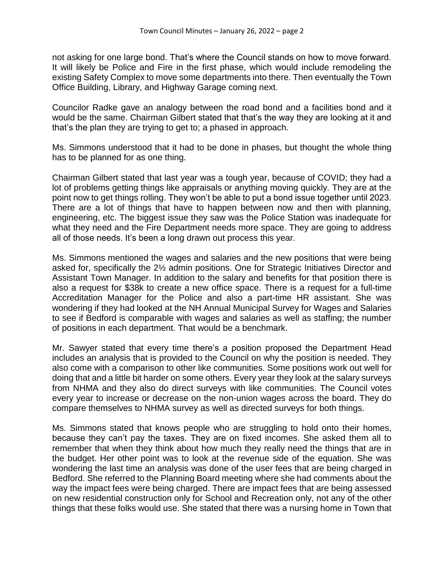not asking for one large bond. That's where the Council stands on how to move forward. It will likely be Police and Fire in the first phase, which would include remodeling the existing Safety Complex to move some departments into there. Then eventually the Town Office Building, Library, and Highway Garage coming next.

Councilor Radke gave an analogy between the road bond and a facilities bond and it would be the same. Chairman Gilbert stated that that's the way they are looking at it and that's the plan they are trying to get to; a phased in approach.

Ms. Simmons understood that it had to be done in phases, but thought the whole thing has to be planned for as one thing.

Chairman Gilbert stated that last year was a tough year, because of COVID; they had a lot of problems getting things like appraisals or anything moving quickly. They are at the point now to get things rolling. They won't be able to put a bond issue together until 2023. There are a lot of things that have to happen between now and then with planning, engineering, etc. The biggest issue they saw was the Police Station was inadequate for what they need and the Fire Department needs more space. They are going to address all of those needs. It's been a long drawn out process this year.

Ms. Simmons mentioned the wages and salaries and the new positions that were being asked for, specifically the 2½ admin positions. One for Strategic Initiatives Director and Assistant Town Manager. In addition to the salary and benefits for that position there is also a request for \$38k to create a new office space. There is a request for a full-time Accreditation Manager for the Police and also a part-time HR assistant. She was wondering if they had looked at the NH Annual Municipal Survey for Wages and Salaries to see if Bedford is comparable with wages and salaries as well as staffing; the number of positions in each department. That would be a benchmark.

Mr. Sawyer stated that every time there's a position proposed the Department Head includes an analysis that is provided to the Council on why the position is needed. They also come with a comparison to other like communities. Some positions work out well for doing that and a little bit harder on some others. Every year they look at the salary surveys from NHMA and they also do direct surveys with like communities. The Council votes every year to increase or decrease on the non-union wages across the board. They do compare themselves to NHMA survey as well as directed surveys for both things.

Ms. Simmons stated that knows people who are struggling to hold onto their homes, because they can't pay the taxes. They are on fixed incomes. She asked them all to remember that when they think about how much they really need the things that are in the budget. Her other point was to look at the revenue side of the equation. She was wondering the last time an analysis was done of the user fees that are being charged in Bedford. She referred to the Planning Board meeting where she had comments about the way the impact fees were being charged. There are impact fees that are being assessed on new residential construction only for School and Recreation only, not any of the other things that these folks would use. She stated that there was a nursing home in Town that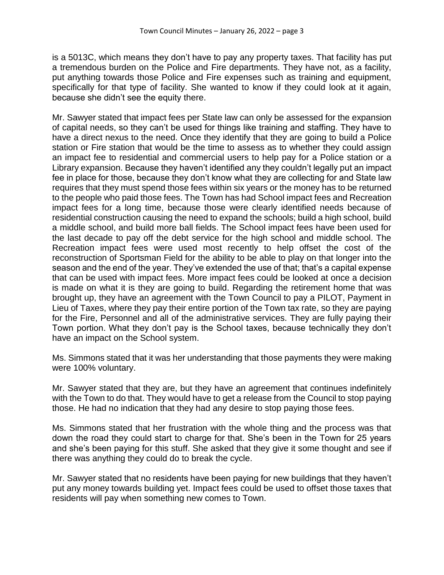is a 5013C, which means they don't have to pay any property taxes. That facility has put a tremendous burden on the Police and Fire departments. They have not, as a facility, put anything towards those Police and Fire expenses such as training and equipment, specifically for that type of facility. She wanted to know if they could look at it again, because she didn't see the equity there.

Mr. Sawyer stated that impact fees per State law can only be assessed for the expansion of capital needs, so they can't be used for things like training and staffing. They have to have a direct nexus to the need. Once they identify that they are going to build a Police station or Fire station that would be the time to assess as to whether they could assign an impact fee to residential and commercial users to help pay for a Police station or a Library expansion. Because they haven't identified any they couldn't legally put an impact fee in place for those, because they don't know what they are collecting for and State law requires that they must spend those fees within six years or the money has to be returned to the people who paid those fees. The Town has had School impact fees and Recreation impact fees for a long time, because those were clearly identified needs because of residential construction causing the need to expand the schools; build a high school, build a middle school, and build more ball fields. The School impact fees have been used for the last decade to pay off the debt service for the high school and middle school. The Recreation impact fees were used most recently to help offset the cost of the reconstruction of Sportsman Field for the ability to be able to play on that longer into the season and the end of the year. They've extended the use of that; that's a capital expense that can be used with impact fees. More impact fees could be looked at once a decision is made on what it is they are going to build. Regarding the retirement home that was brought up, they have an agreement with the Town Council to pay a PILOT, Payment in Lieu of Taxes, where they pay their entire portion of the Town tax rate, so they are paying for the Fire, Personnel and all of the administrative services. They are fully paying their Town portion. What they don't pay is the School taxes, because technically they don't have an impact on the School system.

Ms. Simmons stated that it was her understanding that those payments they were making were 100% voluntary.

Mr. Sawyer stated that they are, but they have an agreement that continues indefinitely with the Town to do that. They would have to get a release from the Council to stop paying those. He had no indication that they had any desire to stop paying those fees.

Ms. Simmons stated that her frustration with the whole thing and the process was that down the road they could start to charge for that. She's been in the Town for 25 years and she's been paying for this stuff. She asked that they give it some thought and see if there was anything they could do to break the cycle.

Mr. Sawyer stated that no residents have been paying for new buildings that they haven't put any money towards building yet. Impact fees could be used to offset those taxes that residents will pay when something new comes to Town.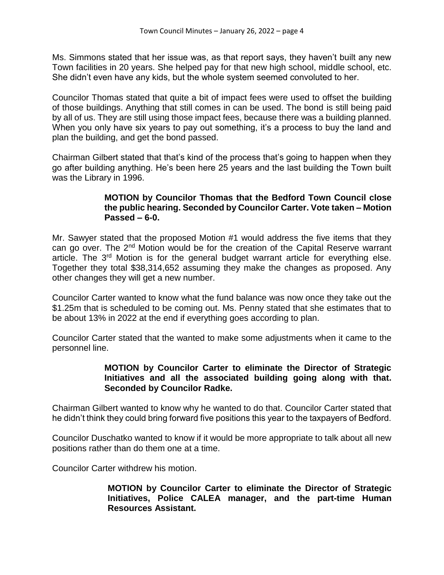Ms. Simmons stated that her issue was, as that report says, they haven't built any new Town facilities in 20 years. She helped pay for that new high school, middle school, etc. She didn't even have any kids, but the whole system seemed convoluted to her.

Councilor Thomas stated that quite a bit of impact fees were used to offset the building of those buildings. Anything that still comes in can be used. The bond is still being paid by all of us. They are still using those impact fees, because there was a building planned. When you only have six years to pay out something, it's a process to buy the land and plan the building, and get the bond passed.

Chairman Gilbert stated that that's kind of the process that's going to happen when they go after building anything. He's been here 25 years and the last building the Town built was the Library in 1996.

## **MOTION by Councilor Thomas that the Bedford Town Council close the public hearing. Seconded by Councilor Carter. Vote taken – Motion Passed – 6-0.**

Mr. Sawyer stated that the proposed Motion #1 would address the five items that they can go over. The 2nd Motion would be for the creation of the Capital Reserve warrant article. The 3<sup>rd</sup> Motion is for the general budget warrant article for everything else. Together they total \$38,314,652 assuming they make the changes as proposed. Any other changes they will get a new number.

Councilor Carter wanted to know what the fund balance was now once they take out the \$1.25m that is scheduled to be coming out. Ms. Penny stated that she estimates that to be about 13% in 2022 at the end if everything goes according to plan.

Councilor Carter stated that the wanted to make some adjustments when it came to the personnel line.

## **MOTION by Councilor Carter to eliminate the Director of Strategic Initiatives and all the associated building going along with that. Seconded by Councilor Radke.**

Chairman Gilbert wanted to know why he wanted to do that. Councilor Carter stated that he didn't think they could bring forward five positions this year to the taxpayers of Bedford.

Councilor Duschatko wanted to know if it would be more appropriate to talk about all new positions rather than do them one at a time.

Councilor Carter withdrew his motion.

**MOTION by Councilor Carter to eliminate the Director of Strategic Initiatives, Police CALEA manager, and the part-time Human Resources Assistant.**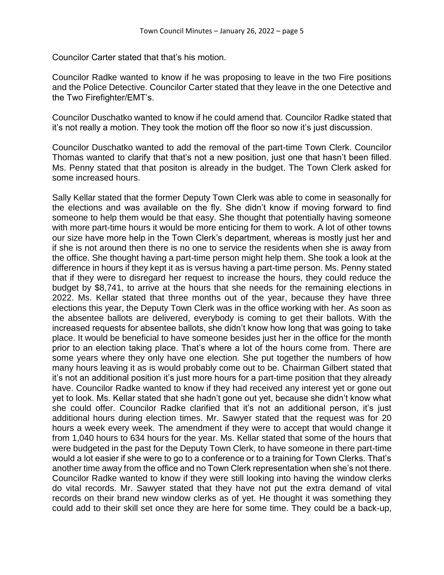Councilor Carter stated that that's his motion.

Councilor Radke wanted to know if he was proposing to leave in the two Fire positions and the Police Detective. Councilor Carter stated that they leave in the one Detective and the Two Firefighter/EMT's.

Councilor Duschatko wanted to know if he could amend that. Councilor Radke stated that it's not really a motion. They took the motion off the floor so now it's just discussion.

Councilor Duschatko wanted to add the removal of the part-time Town Clerk. Councilor Thomas wanted to clarify that that's not a new position, just one that hasn't been filled. Ms. Penny stated that that positon is already in the budget. The Town Clerk asked for some increased hours.

Sally Kellar stated that the former Deputy Town Clerk was able to come in seasonally for the elections and was available on the fly. She didn't know if moving forward to find someone to help them would be that easy. She thought that potentially having someone with more part-time hours it would be more enticing for them to work. A lot of other towns our size have more help in the Town Clerk's department, whereas is mostly just her and if she is not around then there is no one to service the residents when she is away from the office. She thought having a part-time person might help them. She took a look at the difference in hours if they kept it as is versus having a part-time person. Ms. Penny stated that if they were to disregard her request to increase the hours, they could reduce the budget by \$8,741, to arrive at the hours that she needs for the remaining elections in 2022. Ms. Kellar stated that three months out of the year, because they have three elections this year, the Deputy Town Clerk was in the office working with her. As soon as the absentee ballots are delivered, everybody is coming to get their ballots. With the increased requests for absentee ballots, she didn't know how long that was going to take place. It would be beneficial to have someone besides just her in the office for the month prior to an election taking place. That's where a lot of the hours come from. There are some years where they only have one election. She put together the numbers of how many hours leaving it as is would probably come out to be. Chairman Gilbert stated that it's not an additional position it's just more hours for a part-time position that they already have. Councilor Radke wanted to know if they had received any interest yet or gone out yet to look. Ms. Kellar stated that she hadn't gone out yet, because she didn't know what she could offer. Councilor Radke clarified that it's not an additional person, it's just additional hours during election times. Mr. Sawyer stated that the request was for 20 hours a week every week. The amendment if they were to accept that would change it from 1,040 hours to 634 hours for the year. Ms. Kellar stated that some of the hours that were budgeted in the past for the Deputy Town Clerk, to have someone in there part-time would a lot easier if she were to go to a conference or to a training for Town Clerks. That's another time away from the office and no Town Clerk representation when she's not there. Councilor Radke wanted to know if they were still looking into having the window clerks do vital records. Mr. Sawyer stated that they have not put the extra demand of vital records on their brand new window clerks as of yet. He thought it was something they could add to their skill set once they are here for some time. They could be a back-up,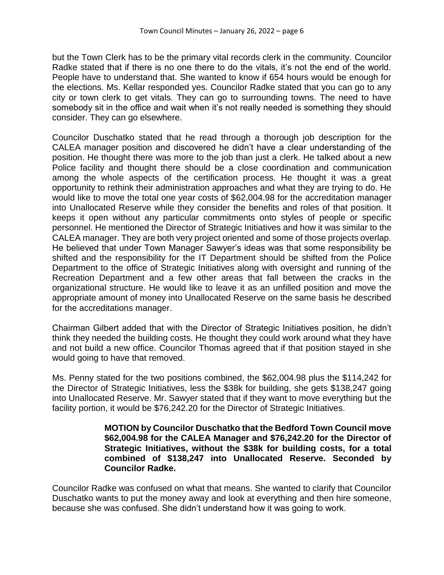but the Town Clerk has to be the primary vital records clerk in the community. Councilor Radke stated that if there is no one there to do the vitals, it's not the end of the world. People have to understand that. She wanted to know if 654 hours would be enough for the elections. Ms. Kellar responded yes. Councilor Radke stated that you can go to any city or town clerk to get vitals. They can go to surrounding towns. The need to have somebody sit in the office and wait when it's not really needed is something they should consider. They can go elsewhere.

Councilor Duschatko stated that he read through a thorough job description for the CALEA manager position and discovered he didn't have a clear understanding of the position. He thought there was more to the job than just a clerk. He talked about a new Police facility and thought there should be a close coordination and communication among the whole aspects of the certification process. He thought it was a great opportunity to rethink their administration approaches and what they are trying to do. He would like to move the total one year costs of \$62,004.98 for the accreditation manager into Unallocated Reserve while they consider the benefits and roles of that position. It keeps it open without any particular commitments onto styles of people or specific personnel. He mentioned the Director of Strategic Initiatives and how it was similar to the CALEA manager. They are both very project oriented and some of those projects overlap. He believed that under Town Manager Sawyer's ideas was that some responsibility be shifted and the responsibility for the IT Department should be shifted from the Police Department to the office of Strategic Initiatives along with oversight and running of the Recreation Department and a few other areas that fall between the cracks in the organizational structure. He would like to leave it as an unfilled position and move the appropriate amount of money into Unallocated Reserve on the same basis he described for the accreditations manager.

Chairman Gilbert added that with the Director of Strategic Initiatives position, he didn't think they needed the building costs. He thought they could work around what they have and not build a new office. Councilor Thomas agreed that if that position stayed in she would going to have that removed.

Ms. Penny stated for the two positions combined, the \$62,004.98 plus the \$114,242 for the Director of Strategic Initiatives, less the \$38k for building, she gets \$138,247 going into Unallocated Reserve. Mr. Sawyer stated that if they want to move everything but the facility portion, it would be \$76,242.20 for the Director of Strategic Initiatives.

### **MOTION by Councilor Duschatko that the Bedford Town Council move \$62,004.98 for the CALEA Manager and \$76,242.20 for the Director of Strategic Initiatives, without the \$38k for building costs, for a total combined of \$138,247 into Unallocated Reserve. Seconded by Councilor Radke.**

Councilor Radke was confused on what that means. She wanted to clarify that Councilor Duschatko wants to put the money away and look at everything and then hire someone, because she was confused. She didn't understand how it was going to work.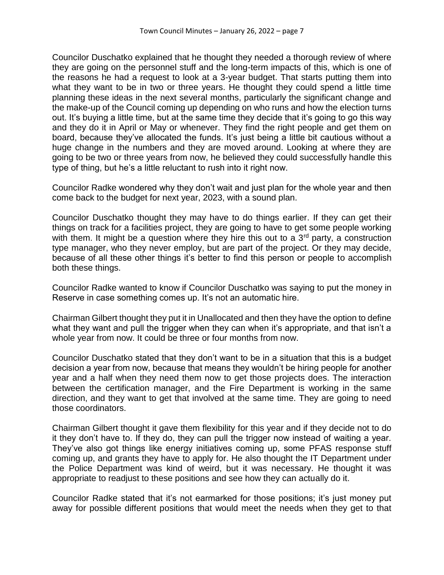Councilor Duschatko explained that he thought they needed a thorough review of where they are going on the personnel stuff and the long-term impacts of this, which is one of the reasons he had a request to look at a 3-year budget. That starts putting them into what they want to be in two or three years. He thought they could spend a little time planning these ideas in the next several months, particularly the significant change and the make-up of the Council coming up depending on who runs and how the election turns out. It's buying a little time, but at the same time they decide that it's going to go this way and they do it in April or May or whenever. They find the right people and get them on board, because they've allocated the funds. It's just being a little bit cautious without a huge change in the numbers and they are moved around. Looking at where they are going to be two or three years from now, he believed they could successfully handle this type of thing, but he's a little reluctant to rush into it right now.

Councilor Radke wondered why they don't wait and just plan for the whole year and then come back to the budget for next year, 2023, with a sound plan.

Councilor Duschatko thought they may have to do things earlier. If they can get their things on track for a facilities project, they are going to have to get some people working with them. It might be a question where they hire this out to a 3<sup>rd</sup> party, a construction type manager, who they never employ, but are part of the project. Or they may decide, because of all these other things it's better to find this person or people to accomplish both these things.

Councilor Radke wanted to know if Councilor Duschatko was saying to put the money in Reserve in case something comes up. It's not an automatic hire.

Chairman Gilbert thought they put it in Unallocated and then they have the option to define what they want and pull the trigger when they can when it's appropriate, and that isn't a whole year from now. It could be three or four months from now.

Councilor Duschatko stated that they don't want to be in a situation that this is a budget decision a year from now, because that means they wouldn't be hiring people for another year and a half when they need them now to get those projects does. The interaction between the certification manager, and the Fire Department is working in the same direction, and they want to get that involved at the same time. They are going to need those coordinators.

Chairman Gilbert thought it gave them flexibility for this year and if they decide not to do it they don't have to. If they do, they can pull the trigger now instead of waiting a year. They've also got things like energy initiatives coming up, some PFAS response stuff coming up, and grants they have to apply for. He also thought the IT Department under the Police Department was kind of weird, but it was necessary. He thought it was appropriate to readjust to these positions and see how they can actually do it.

Councilor Radke stated that it's not earmarked for those positions; it's just money put away for possible different positions that would meet the needs when they get to that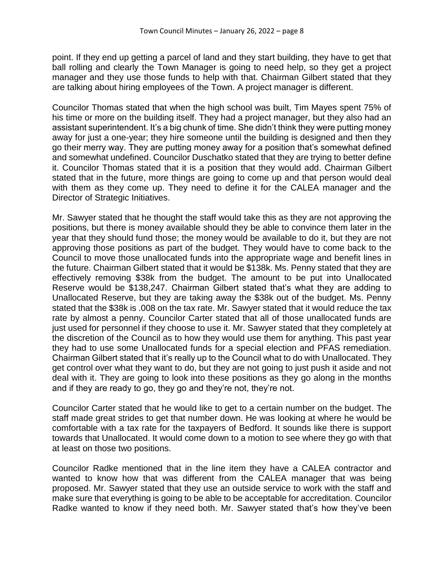point. If they end up getting a parcel of land and they start building, they have to get that ball rolling and clearly the Town Manager is going to need help, so they get a project manager and they use those funds to help with that. Chairman Gilbert stated that they are talking about hiring employees of the Town. A project manager is different.

Councilor Thomas stated that when the high school was built, Tim Mayes spent 75% of his time or more on the building itself. They had a project manager, but they also had an assistant superintendent. It's a big chunk of time. She didn't think they were putting money away for just a one-year; they hire someone until the building is designed and then they go their merry way. They are putting money away for a position that's somewhat defined and somewhat undefined. Councilor Duschatko stated that they are trying to better define it. Councilor Thomas stated that it is a position that they would add. Chairman Gilbert stated that in the future, more things are going to come up and that person would deal with them as they come up. They need to define it for the CALEA manager and the Director of Strategic Initiatives.

Mr. Sawyer stated that he thought the staff would take this as they are not approving the positions, but there is money available should they be able to convince them later in the year that they should fund those; the money would be available to do it, but they are not approving those positions as part of the budget. They would have to come back to the Council to move those unallocated funds into the appropriate wage and benefit lines in the future. Chairman Gilbert stated that it would be \$138k. Ms. Penny stated that they are effectively removing \$38k from the budget. The amount to be put into Unallocated Reserve would be \$138,247. Chairman Gilbert stated that's what they are adding to Unallocated Reserve, but they are taking away the \$38k out of the budget. Ms. Penny stated that the \$38k is .008 on the tax rate. Mr. Sawyer stated that it would reduce the tax rate by almost a penny. Councilor Carter stated that all of those unallocated funds are just used for personnel if they choose to use it. Mr. Sawyer stated that they completely at the discretion of the Council as to how they would use them for anything. This past year they had to use some Unallocated funds for a special election and PFAS remediation. Chairman Gilbert stated that it's really up to the Council what to do with Unallocated. They get control over what they want to do, but they are not going to just push it aside and not deal with it. They are going to look into these positions as they go along in the months and if they are ready to go, they go and they're not, they're not.

Councilor Carter stated that he would like to get to a certain number on the budget. The staff made great strides to get that number down. He was looking at where he would be comfortable with a tax rate for the taxpayers of Bedford. It sounds like there is support towards that Unallocated. It would come down to a motion to see where they go with that at least on those two positions.

Councilor Radke mentioned that in the line item they have a CALEA contractor and wanted to know how that was different from the CALEA manager that was being proposed. Mr. Sawyer stated that they use an outside service to work with the staff and make sure that everything is going to be able to be acceptable for accreditation. Councilor Radke wanted to know if they need both. Mr. Sawyer stated that's how they've been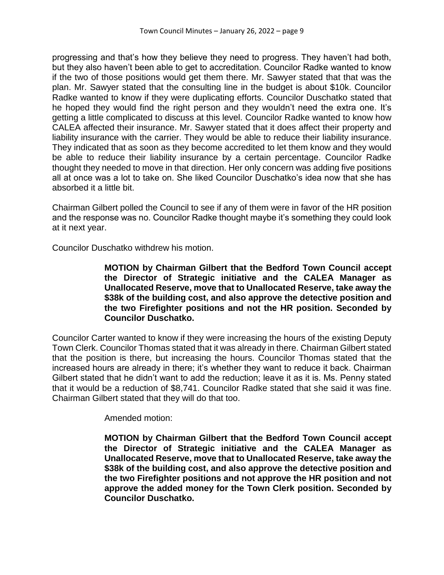progressing and that's how they believe they need to progress. They haven't had both, but they also haven't been able to get to accreditation. Councilor Radke wanted to know if the two of those positions would get them there. Mr. Sawyer stated that that was the plan. Mr. Sawyer stated that the consulting line in the budget is about \$10k. Councilor Radke wanted to know if they were duplicating efforts. Councilor Duschatko stated that he hoped they would find the right person and they wouldn't need the extra one. It's getting a little complicated to discuss at this level. Councilor Radke wanted to know how CALEA affected their insurance. Mr. Sawyer stated that it does affect their property and liability insurance with the carrier. They would be able to reduce their liability insurance. They indicated that as soon as they become accredited to let them know and they would be able to reduce their liability insurance by a certain percentage. Councilor Radke thought they needed to move in that direction. Her only concern was adding five positions all at once was a lot to take on. She liked Councilor Duschatko's idea now that she has absorbed it a little bit.

Chairman Gilbert polled the Council to see if any of them were in favor of the HR position and the response was no. Councilor Radke thought maybe it's something they could look at it next year.

Councilor Duschatko withdrew his motion.

**MOTION by Chairman Gilbert that the Bedford Town Council accept the Director of Strategic initiative and the CALEA Manager as Unallocated Reserve, move that to Unallocated Reserve, take away the \$38k of the building cost, and also approve the detective position and the two Firefighter positions and not the HR position. Seconded by Councilor Duschatko.**

Councilor Carter wanted to know if they were increasing the hours of the existing Deputy Town Clerk. Councilor Thomas stated that it was already in there. Chairman Gilbert stated that the position is there, but increasing the hours. Councilor Thomas stated that the increased hours are already in there; it's whether they want to reduce it back. Chairman Gilbert stated that he didn't want to add the reduction; leave it as it is. Ms. Penny stated that it would be a reduction of \$8,741. Councilor Radke stated that she said it was fine. Chairman Gilbert stated that they will do that too.

Amended motion:

**MOTION by Chairman Gilbert that the Bedford Town Council accept the Director of Strategic initiative and the CALEA Manager as Unallocated Reserve, move that to Unallocated Reserve, take away the \$38k of the building cost, and also approve the detective position and the two Firefighter positions and not approve the HR position and not approve the added money for the Town Clerk position. Seconded by Councilor Duschatko.**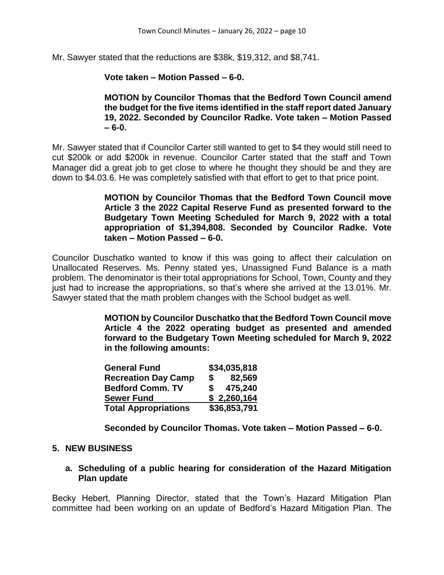Mr. Sawyer stated that the reductions are \$38k, \$19,312, and \$8,741.

**Vote taken – Motion Passed – 6-0.** 

**MOTION by Councilor Thomas that the Bedford Town Council amend the budget for the five items identified in the staff report dated January 19, 2022. Seconded by Councilor Radke. Vote taken – Motion Passed – 6-0.**

Mr. Sawyer stated that if Councilor Carter still wanted to get to \$4 they would still need to cut \$200k or add \$200k in revenue. Councilor Carter stated that the staff and Town Manager did a great job to get close to where he thought they should be and they are down to \$4.03.6. He was completely satisfied with that effort to get to that price point.

> **MOTION by Councilor Thomas that the Bedford Town Council move Article 3 the 2022 Capital Reserve Fund as presented forward to the Budgetary Town Meeting Scheduled for March 9, 2022 with a total appropriation of \$1,394,808. Seconded by Councilor Radke. Vote taken – Motion Passed – 6-0.**

Councilor Duschatko wanted to know if this was going to affect their calculation on Unallocated Reserves. Ms. Penny stated yes, Unassigned Fund Balance is a math problem. The denominator is their total appropriations for School, Town, County and they just had to increase the appropriations, so that's where she arrived at the 13.01%. Mr. Sawyer stated that the math problem changes with the School budget as well.

> **MOTION by Councilor Duschatko that the Bedford Town Council move Article 4 the 2022 operating budget as presented and amended forward to the Budgetary Town Meeting scheduled for March 9, 2022 in the following amounts:**

| <b>General Fund</b>         | \$34,035,818   |
|-----------------------------|----------------|
| <b>Recreation Day Camp</b>  | 82,569<br>S.   |
| <b>Bedford Comm. TV</b>     | 475,240<br>SS. |
| <b>Sewer Fund</b>           | \$2,260,164    |
| <b>Total Appropriations</b> | \$36,853,791   |

**Seconded by Councilor Thomas. Vote taken – Motion Passed – 6-0.**

## **5. NEW BUSINESS**

**a. Scheduling of a public hearing for consideration of the Hazard Mitigation Plan update**

Becky Hebert, Planning Director, stated that the Town's Hazard Mitigation Plan committee had been working on an update of Bedford's Hazard Mitigation Plan. The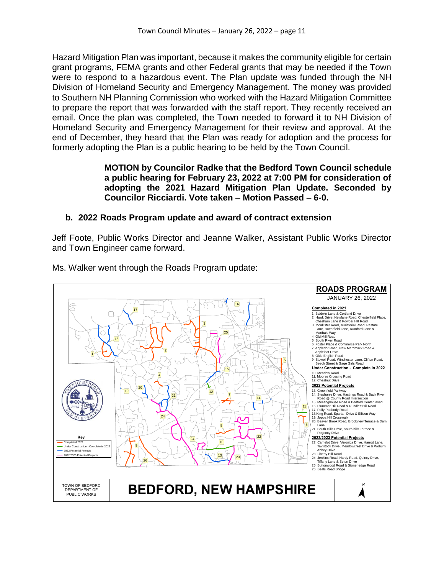Hazard Mitigation Plan was important, because it makes the community eligible for certain grant programs, FEMA grants and other Federal grants that may be needed if the Town were to respond to a hazardous event. The Plan update was funded through the NH Division of Homeland Security and Emergency Management. The money was provided to Southern NH Planning Commission who worked with the Hazard Mitigation Committee to prepare the report that was forwarded with the staff report. They recently received an email. Once the plan was completed, the Town needed to forward it to NH Division of Homeland Security and Emergency Management for their review and approval. At the end of December, they heard that the Plan was ready for adoption and the process for formerly adopting the Plan is a public hearing to be held by the Town Council.

## **MOTION by Councilor Radke that the Bedford Town Council schedule a public hearing for February 23, 2022 at 7:00 PM for consideration of adopting the 2021 Hazard Mitigation Plan Update. Seconded by Councilor Ricciardi. Vote taken – Motion Passed – 6-0.**

# **b. 2022 Roads Program update and award of contract extension**

Jeff Foote, Public Works Director and Jeanne Walker, Assistant Public Works Director and Town Engineer came forward.



Ms. Walker went through the Roads Program update: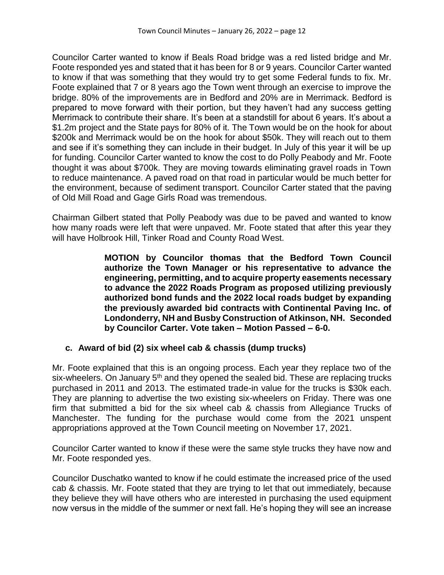Councilor Carter wanted to know if Beals Road bridge was a red listed bridge and Mr. Foote responded yes and stated that it has been for 8 or 9 years. Councilor Carter wanted to know if that was something that they would try to get some Federal funds to fix. Mr. Foote explained that 7 or 8 years ago the Town went through an exercise to improve the bridge. 80% of the improvements are in Bedford and 20% are in Merrimack. Bedford is prepared to move forward with their portion, but they haven't had any success getting Merrimack to contribute their share. It's been at a standstill for about 6 years. It's about a \$1.2m project and the State pays for 80% of it. The Town would be on the hook for about \$200k and Merrimack would be on the hook for about \$50k. They will reach out to them and see if it's something they can include in their budget. In July of this year it will be up for funding. Councilor Carter wanted to know the cost to do Polly Peabody and Mr. Foote thought it was about \$700k. They are moving towards eliminating gravel roads in Town to reduce maintenance. A paved road on that road in particular would be much better for the environment, because of sediment transport. Councilor Carter stated that the paving of Old Mill Road and Gage Girls Road was tremendous.

Chairman Gilbert stated that Polly Peabody was due to be paved and wanted to know how many roads were left that were unpaved. Mr. Foote stated that after this year they will have Holbrook Hill, Tinker Road and County Road West.

> **MOTION by Councilor thomas that the Bedford Town Council authorize the Town Manager or his representative to advance the engineering, permitting, and to acquire property easements necessary to advance the 2022 Roads Program as proposed utilizing previously authorized bond funds and the 2022 local roads budget by expanding the previously awarded bid contracts with Continental Paving Inc. of Londonderry, NH and Busby Construction of Atkinson, NH. Seconded by Councilor Carter. Vote taken – Motion Passed – 6-0.**

## **c. Award of bid (2) six wheel cab & chassis (dump trucks)**

Mr. Foote explained that this is an ongoing process. Each year they replace two of the six-wheelers. On January 5<sup>th</sup> and they opened the sealed bid. These are replacing trucks purchased in 2011 and 2013. The estimated trade-in value for the trucks is \$30k each. They are planning to advertise the two existing six-wheelers on Friday. There was one firm that submitted a bid for the six wheel cab & chassis from Allegiance Trucks of Manchester. The funding for the purchase would come from the 2021 unspent appropriations approved at the Town Council meeting on November 17, 2021.

Councilor Carter wanted to know if these were the same style trucks they have now and Mr. Foote responded yes.

Councilor Duschatko wanted to know if he could estimate the increased price of the used cab & chassis. Mr. Foote stated that they are trying to let that out immediately, because they believe they will have others who are interested in purchasing the used equipment now versus in the middle of the summer or next fall. He's hoping they will see an increase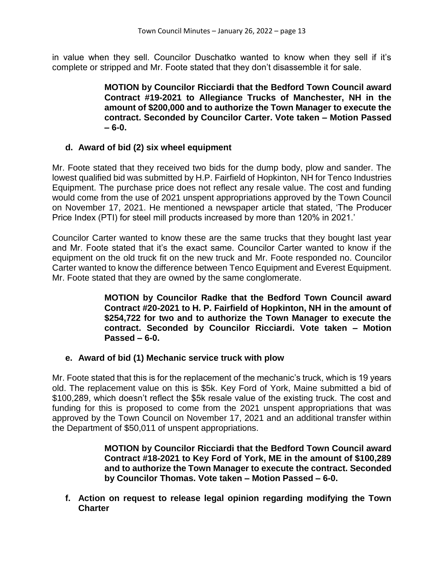in value when they sell. Councilor Duschatko wanted to know when they sell if it's complete or stripped and Mr. Foote stated that they don't disassemble it for sale.

> **MOTION by Councilor Ricciardi that the Bedford Town Council award Contract #19-2021 to Allegiance Trucks of Manchester, NH in the amount of \$200,000 and to authorize the Town Manager to execute the contract. Seconded by Councilor Carter. Vote taken – Motion Passed – 6-0.**

## **d. Award of bid (2) six wheel equipment**

Mr. Foote stated that they received two bids for the dump body, plow and sander. The lowest qualified bid was submitted by H.P. Fairfield of Hopkinton, NH for Tenco Industries Equipment. The purchase price does not reflect any resale value. The cost and funding would come from the use of 2021 unspent appropriations approved by the Town Council on November 17, 2021. He mentioned a newspaper article that stated, 'The Producer Price Index (PTI) for steel mill products increased by more than 120% in 2021.'

Councilor Carter wanted to know these are the same trucks that they bought last year and Mr. Foote stated that it's the exact same. Councilor Carter wanted to know if the equipment on the old truck fit on the new truck and Mr. Foote responded no. Councilor Carter wanted to know the difference between Tenco Equipment and Everest Equipment. Mr. Foote stated that they are owned by the same conglomerate.

> **MOTION by Councilor Radke that the Bedford Town Council award Contract #20-2021 to H. P. Fairfield of Hopkinton, NH in the amount of \$254,722 for two and to authorize the Town Manager to execute the contract. Seconded by Councilor Ricciardi. Vote taken – Motion Passed – 6-0.**

## **e. Award of bid (1) Mechanic service truck with plow**

Mr. Foote stated that this is for the replacement of the mechanic's truck, which is 19 years old. The replacement value on this is \$5k. Key Ford of York, Maine submitted a bid of \$100,289, which doesn't reflect the \$5k resale value of the existing truck. The cost and funding for this is proposed to come from the 2021 unspent appropriations that was approved by the Town Council on November 17, 2021 and an additional transfer within the Department of \$50,011 of unspent appropriations.

> **MOTION by Councilor Ricciardi that the Bedford Town Council award Contract #18-2021 to Key Ford of York, ME in the amount of \$100,289 and to authorize the Town Manager to execute the contract. Seconded by Councilor Thomas. Vote taken – Motion Passed – 6-0.**

**f. Action on request to release legal opinion regarding modifying the Town Charter**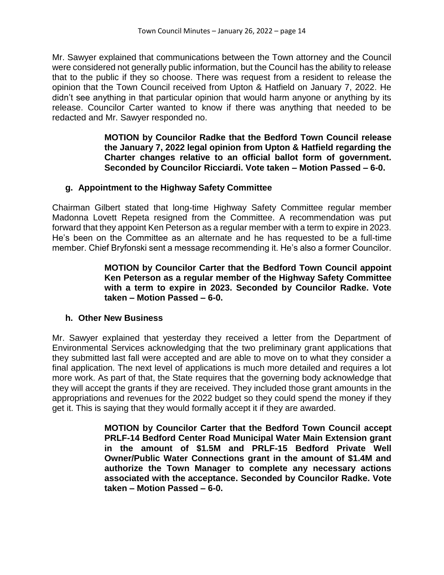Mr. Sawyer explained that communications between the Town attorney and the Council were considered not generally public information, but the Council has the ability to release that to the public if they so choose. There was request from a resident to release the opinion that the Town Council received from Upton & Hatfield on January 7, 2022. He didn't see anything in that particular opinion that would harm anyone or anything by its release. Councilor Carter wanted to know if there was anything that needed to be redacted and Mr. Sawyer responded no.

> **MOTION by Councilor Radke that the Bedford Town Council release the January 7, 2022 legal opinion from Upton & Hatfield regarding the Charter changes relative to an official ballot form of government. Seconded by Councilor Ricciardi. Vote taken – Motion Passed – 6-0.**

## **g. Appointment to the Highway Safety Committee**

Chairman Gilbert stated that long-time Highway Safety Committee regular member Madonna Lovett Repeta resigned from the Committee. A recommendation was put forward that they appoint Ken Peterson as a regular member with a term to expire in 2023. He's been on the Committee as an alternate and he has requested to be a full-time member. Chief Bryfonski sent a message recommending it. He's also a former Councilor.

## **MOTION by Councilor Carter that the Bedford Town Council appoint Ken Peterson as a regular member of the Highway Safety Committee with a term to expire in 2023. Seconded by Councilor Radke. Vote taken – Motion Passed – 6-0.**

## **h. Other New Business**

Mr. Sawyer explained that yesterday they received a letter from the Department of Environmental Services acknowledging that the two preliminary grant applications that they submitted last fall were accepted and are able to move on to what they consider a final application. The next level of applications is much more detailed and requires a lot more work. As part of that, the State requires that the governing body acknowledge that they will accept the grants if they are received. They included those grant amounts in the appropriations and revenues for the 2022 budget so they could spend the money if they get it. This is saying that they would formally accept it if they are awarded.

> **MOTION by Councilor Carter that the Bedford Town Council accept PRLF-14 Bedford Center Road Municipal Water Main Extension grant in the amount of \$1.5M and PRLF-15 Bedford Private Well Owner/Public Water Connections grant in the amount of \$1.4M and authorize the Town Manager to complete any necessary actions associated with the acceptance. Seconded by Councilor Radke. Vote taken – Motion Passed – 6-0.**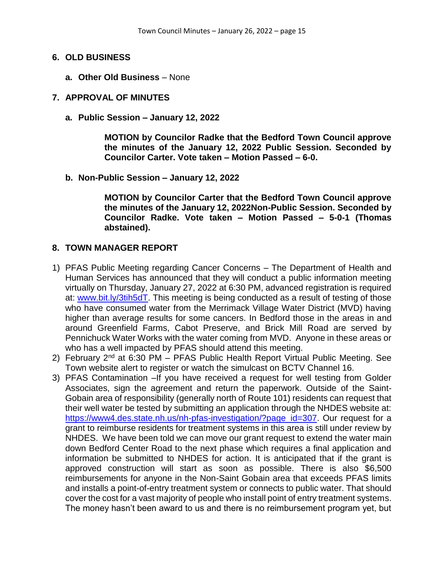#### **6. OLD BUSINESS**

**a. Other Old Business** – None

#### **7. APPROVAL OF MINUTES**

**a. Public Session – January 12, 2022**

**MOTION by Councilor Radke that the Bedford Town Council approve the minutes of the January 12, 2022 Public Session. Seconded by Councilor Carter. Vote taken – Motion Passed – 6-0.**

**b. Non-Public Session – January 12, 2022**

**MOTION by Councilor Carter that the Bedford Town Council approve the minutes of the January 12, 2022Non-Public Session. Seconded by Councilor Radke. Vote taken – Motion Passed – 5-0-1 (Thomas abstained).**

### **8. TOWN MANAGER REPORT**

- 1) PFAS Public Meeting regarding Cancer Concerns The Department of Health and Human Services has announced that they will conduct a public information meeting virtually on Thursday, January 27, 2022 at 6:30 PM, advanced registration is required at: [www.bit.ly/3tih5dT.](http://www.bit.ly/3tih5dT) This meeting is being conducted as a result of testing of those who have consumed water from the Merrimack Village Water District (MVD) having higher than average results for some cancers. In Bedford those in the areas in and around Greenfield Farms, Cabot Preserve, and Brick Mill Road are served by Pennichuck Water Works with the water coming from MVD. Anyone in these areas or who has a well impacted by PFAS should attend this meeting.
- 2) February  $2^{nd}$  at 6:30 PM PFAS Public Health Report Virtual Public Meeting. See Town website alert to register or watch the simulcast on BCTV Channel 16.
- 3) PFAS Contamination –If you have received a request for well testing from Golder Associates, sign the agreement and return the paperwork. Outside of the Saint-Gobain area of responsibility (generally north of Route 101) residents can request that their well water be tested by submitting an application through the NHDES website at: [https://www4.des.state.nh.us/nh-pfas-investigation/?page\\_id=307.](https://www4.des.state.nh.us/nh-pfas-investigation/?page_id=307) Our request for a grant to reimburse residents for treatment systems in this area is still under review by NHDES. We have been told we can move our grant request to extend the water main down Bedford Center Road to the next phase which requires a final application and information be submitted to NHDES for action. It is anticipated that if the grant is approved construction will start as soon as possible. There is also \$6,500 reimbursements for anyone in the Non-Saint Gobain area that exceeds PFAS limits and installs a point-of-entry treatment system or connects to public water. That should cover the cost for a vast majority of people who install point of entry treatment systems. The money hasn't been award to us and there is no reimbursement program yet, but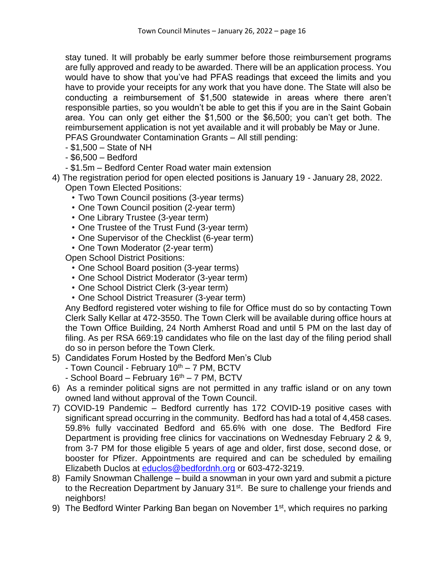stay tuned. It will probably be early summer before those reimbursement programs are fully approved and ready to be awarded. There will be an application process. You would have to show that you've had PFAS readings that exceed the limits and you have to provide your receipts for any work that you have done. The State will also be conducting a reimbursement of \$1,500 statewide in areas where there aren't responsible parties, so you wouldn't be able to get this if you are in the Saint Gobain area. You can only get either the \$1,500 or the \$6,500; you can't get both. The reimbursement application is not yet available and it will probably be May or June. PFAS Groundwater Contamination Grants – All still pending:

- \$1,500 State of NH
- \$6,500 Bedford
- \$1.5m Bedford Center Road water main extension
- 4) The registration period for open elected positions is January 19 January 28, 2022. Open Town Elected Positions:
	- Two Town Council positions (3-year terms)
	- One Town Council position (2-year term)
	- One Library Trustee (3-year term)
	- One Trustee of the Trust Fund (3-year term)
	- One Supervisor of the Checklist (6-year term)
	- One Town Moderator (2-year term)

Open School District Positions:

- One School Board position (3-year terms)
- One School District Moderator (3-year term)
- One School District Clerk (3-year term)
- One School District Treasurer (3-year term)

Any Bedford registered voter wishing to file for Office must do so by contacting Town Clerk Sally Kellar at 472-3550. The Town Clerk will be available during office hours at the Town Office Building, 24 North Amherst Road and until 5 PM on the last day of filing. As per RSA 669:19 candidates who file on the last day of the filing period shall do so in person before the Town Clerk.

- 5) Candidates Forum Hosted by the Bedford Men's Club
	- Town Council February  $10^{th} 7$  PM, BCTV
	- School Board February 16<sup>th</sup> 7 PM, BCTV
- 6) As a reminder political signs are not permitted in any traffic island or on any town owned land without approval of the Town Council.
- 7) COVID-19 Pandemic Bedford currently has 172 COVID-19 positive cases with significant spread occurring in the community. Bedford has had a total of 4,458 cases. 59.8% fully vaccinated Bedford and 65.6% with one dose. The Bedford Fire Department is providing free clinics for vaccinations on Wednesday February 2 & 9, from 3-7 PM for those eligible 5 years of age and older, first dose, second dose, or booster for Pfizer. Appointments are required and can be scheduled by emailing Elizabeth Duclos at [educlos@bedfordnh.org](mailto:educlos@bedfordnh.org) or 603-472-3219.
- 8) Family Snowman Challenge build a snowman in your own yard and submit a picture to the Recreation Department by January 31<sup>st</sup>. Be sure to challenge your friends and neighbors!
- 9) The Bedford Winter Parking Ban began on November 1<sup>st</sup>, which requires no parking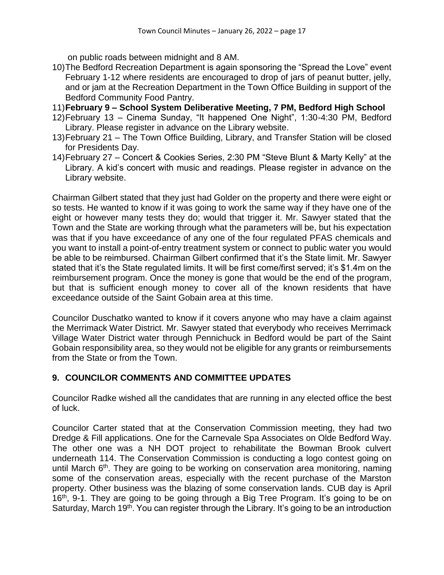on public roads between midnight and 8 AM.

- 10)The Bedford Recreation Department is again sponsoring the "Spread the Love" event February 1-12 where residents are encouraged to drop of jars of peanut butter, jelly, and or jam at the Recreation Department in the Town Office Building in support of the Bedford Community Food Pantry.
- 11)**February 9 – School System Deliberative Meeting, 7 PM, Bedford High School**
- 12)February 13 Cinema Sunday, "It happened One Night", 1:30-4:30 PM, Bedford Library. Please register in advance on the Library website.
- 13)February 21 The Town Office Building, Library, and Transfer Station will be closed for Presidents Day.
- 14)February 27 Concert & Cookies Series, 2:30 PM "Steve Blunt & Marty Kelly" at the Library. A kid's concert with music and readings. Please register in advance on the Library website.

Chairman Gilbert stated that they just had Golder on the property and there were eight or so tests. He wanted to know if it was going to work the same way if they have one of the eight or however many tests they do; would that trigger it. Mr. Sawyer stated that the Town and the State are working through what the parameters will be, but his expectation was that if you have exceedance of any one of the four regulated PFAS chemicals and you want to install a point-of-entry treatment system or connect to public water you would be able to be reimbursed. Chairman Gilbert confirmed that it's the State limit. Mr. Sawyer stated that it's the State regulated limits. It will be first come/first served; it's \$1.4m on the reimbursement program. Once the money is gone that would be the end of the program, but that is sufficient enough money to cover all of the known residents that have exceedance outside of the Saint Gobain area at this time.

Councilor Duschatko wanted to know if it covers anyone who may have a claim against the Merrimack Water District. Mr. Sawyer stated that everybody who receives Merrimack Village Water District water through Pennichuck in Bedford would be part of the Saint Gobain responsibility area, so they would not be eligible for any grants or reimbursements from the State or from the Town.

# **9. COUNCILOR COMMENTS AND COMMITTEE UPDATES**

Councilor Radke wished all the candidates that are running in any elected office the best of luck.

Councilor Carter stated that at the Conservation Commission meeting, they had two Dredge & Fill applications. One for the Carnevale Spa Associates on Olde Bedford Way. The other one was a NH DOT project to rehabilitate the Bowman Brook culvert underneath 114. The Conservation Commission is conducting a logo contest going on until March 6<sup>th</sup>. They are going to be working on conservation area monitoring, naming some of the conservation areas, especially with the recent purchase of the Marston property. Other business was the blazing of some conservation lands. CUB day is April 16th, 9-1. They are going to be going through a Big Tree Program. It's going to be on Saturday, March 19<sup>th</sup>. You can register through the Library. It's going to be an introduction